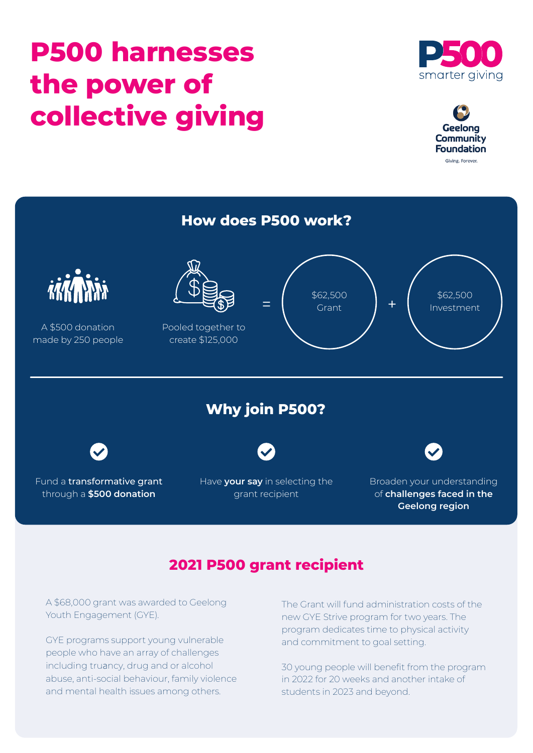# **P500 harnesses the power of collective giving**







## **2021 P500 grant recipient**

A \$68,000 grant was awarded to Geelong Youth Engagement (GYE).

GYE programs support young vulnerable people who have an array of challenges including truancy, drug and or alcohol abuse, anti-social behaviour, family violence and mental health issues among others.

The Grant will fund administration costs of the new GYE Strive program for two years. The program dedicates time to physical activity and commitment to goal setting.

30 young people will benefit from the program in 2022 for 20 weeks and another intake of students in 2023 and beyond.